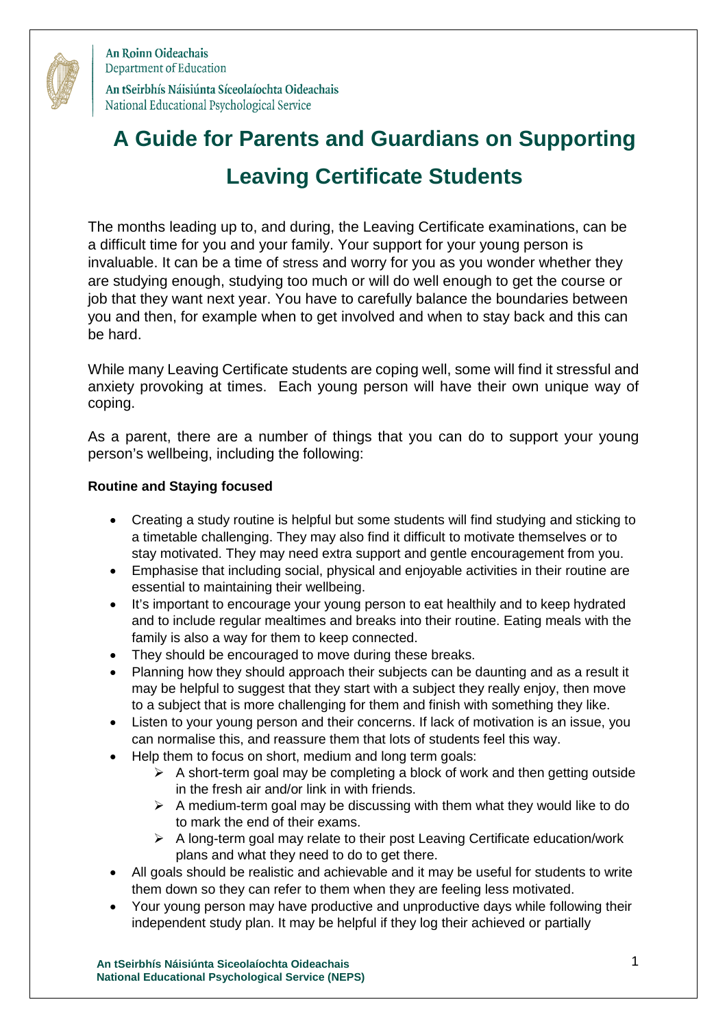

An Roinn Oideachais Department of Education An tSeirbhís Náisiúnta Síceolaíochta Oideachais National Educational Psychological Service

# **A Guide for Parents and Guardians on Supporting Leaving Certificate Students**

The months leading up to, and during, the Leaving Certificate examinations, can be a difficult time for you and your family. Your support for your young person is invaluable. It can be a time of stress and worry for you as you wonder whether they are studying enough, studying too much or will do well enough to get the course or job that they want next year. You have to carefully balance the boundaries between you and then, for example when to get involved and when to stay back and this can be hard.

While many Leaving Certificate students are coping well, some will find it stressful and anxiety provoking at times. Each young person will have their own unique way of coping.

As a parent, there are a number of things that you can do to support your young person's wellbeing, including the following:

# **Routine and Staying focused**

- Creating a study routine is helpful but some students will find studying and sticking to a timetable challenging. They may also find it difficult to motivate themselves or to stay motivated. They may need extra support and gentle encouragement from you.
- Emphasise that including social, physical and enjoyable activities in their routine are essential to maintaining their wellbeing.
- It's important to encourage your young person to eat healthily and to keep hydrated and to include regular mealtimes and breaks into their routine. Eating meals with the family is also a way for them to keep connected.
- They should be encouraged to move during these breaks.
- Planning how they should approach their subjects can be daunting and as a result it may be helpful to suggest that they start with a subject they really enjoy, then move to a subject that is more challenging for them and finish with something they like.
- Listen to your young person and their concerns. If lack of motivation is an issue, you can normalise this, and reassure them that lots of students feel this way.
- Help them to focus on short, medium and long term goals:
	- $\triangleright$  A short-term goal may be completing a block of work and then getting outside in the fresh air and/or link in with friends.
	- $\triangleright$  A medium-term goal may be discussing with them what they would like to do to mark the end of their exams.
	- $\triangleright$  A long-term goal may relate to their post Leaving Certificate education/work plans and what they need to do to get there.
- All goals should be realistic and achievable and it may be useful for students to write them down so they can refer to them when they are feeling less motivated.
- Your young person may have productive and unproductive days while following their independent study plan. It may be helpful if they log their achieved or partially

**An tSeirbhís Náisiúnta Siceolaíochta Oideachais** 1 **National Educational Psychological Service (NEPS)**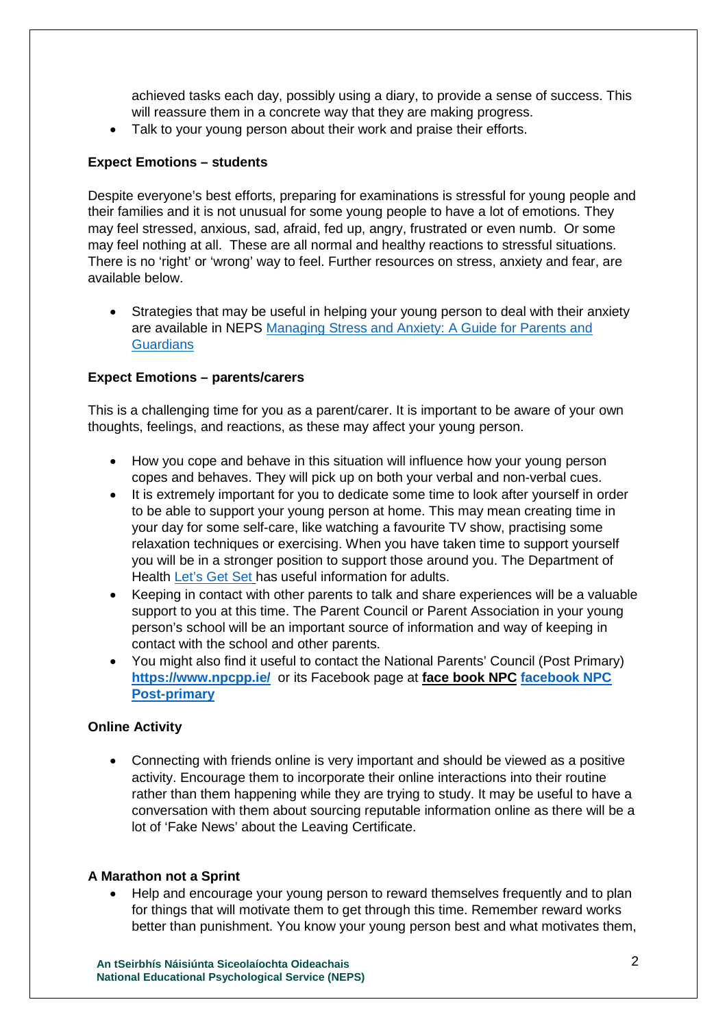achieved tasks each day, possibly using a diary, to provide a sense of success. This will reassure them in a concrete way that they are making progress.

• Talk to your young person about their work and praise their efforts.

## **Expect Emotions – students**

Despite everyone's best efforts, preparing for examinations is stressful for young people and their families and it is not unusual for some young people to have a lot of emotions. They may feel stressed, anxious, sad, afraid, fed up, angry, frustrated or even numb. Or some may feel nothing at all. These are all normal and healthy reactions to stressful situations. There is no 'right' or 'wrong' way to feel. Further resources on stress, anxiety and fear, are available below.

 Strategies that may be useful in helping your young person to deal with their anxiety are available in NEPS Managing Stress and Anxiety: A Guide for Parents and **Guardians** 

### **Expect Emotions – parents/carers**

This is a challenging time for you as a parent/carer. It is important to be aware of your own thoughts, feelings, and reactions, as these may affect your young person.

- How you cope and behave in this situation will influence how your young person copes and behaves. They will pick up on both your verbal and non-verbal cues.
- It is extremely important for you to dedicate some time to look after yourself in order to be able to support your young person at home. This may mean creating time in your day for some self-care, like watching a favourite TV show, practising some relaxation techniques or exercising. When you have taken time to support yourself you will be in a stronger position to support those around you. The Department of Health [Let's Get Set](https://www.gov.ie/en/campaigns/8928d-healthy-ireland/) has useful information for adults.
- Keeping in contact with other parents to talk and share experiences will be a valuable support to you at this time. The Parent Council or Parent Association in your young person's school will be an important source of information and way of keeping in contact with the school and other parents.
- You might also find it useful to contact the National Parents' Council (Post Primary) **<https://www.npcpp.ie/>**or its Facebook page at **face book NPC [facebook NPC](https://www.facebook.com/NationalParentsCouncilPP/)  [Post-primary](https://www.facebook.com/NationalParentsCouncilPP/)**

#### **Online Activity**

 Connecting with friends online is very important and should be viewed as a positive activity. Encourage them to incorporate their online interactions into their routine rather than them happening while they are trying to study. It may be useful to have a conversation with them about sourcing reputable information online as there will be a lot of 'Fake News' about the Leaving Certificate.

#### **A Marathon not a Sprint**

 Help and encourage your young person to reward themselves frequently and to plan for things that will motivate them to get through this time. Remember reward works better than punishment. You know your young person best and what motivates them,